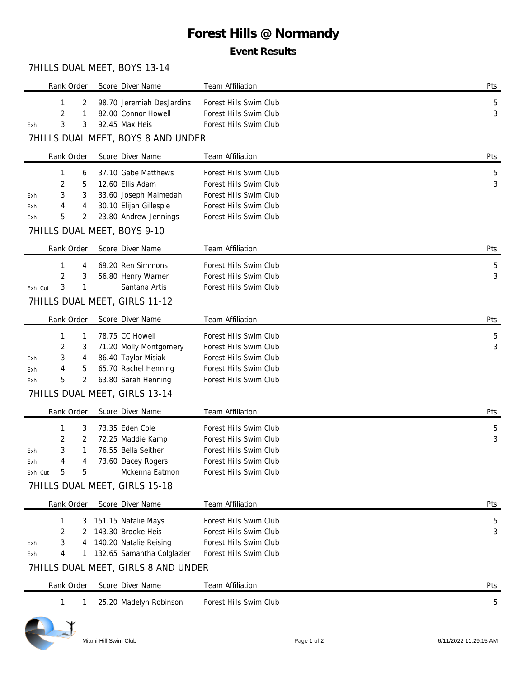# **Forest Hills @ Normandy**

### **Event Results**

#### 7HILLS DUAL MEET, BOYS 13-14

| Rank Order                     |            |        | Score Diver Name                                                  | Team Affiliation                                 | Pts |
|--------------------------------|------------|--------|-------------------------------------------------------------------|--------------------------------------------------|-----|
|                                | 1          | 2      | 98.70 Jeremiah DesJardins                                         | Forest Hills Swim Club                           | 5   |
|                                | 2<br>3     | 1<br>3 | 82.00 Connor Howell                                               | Forest Hills Swim Club                           | 3   |
| Exh                            |            |        | 92.45 Max Heis<br>7HILLS DUAL MEET, BOYS 8 AND UNDER              | Forest Hills Swim Club                           |     |
|                                | Rank Order |        | Score Diver Name                                                  | Team Affiliation                                 | Pts |
|                                | 1          | 6      | 37.10 Gabe Matthews                                               | Forest Hills Swim Club                           | 5   |
|                                | 2          | 5      | 12.60 Ellis Adam                                                  | Forest Hills Swim Club                           | 3   |
| Exh                            | 3          | 3      | 33.60 Joseph Malmedahl                                            | Forest Hills Swim Club                           |     |
| Exh                            | 4          | 4      | 30.10 Elijah Gillespie                                            | Forest Hills Swim Club                           |     |
| Exh                            | 5          | 2      | 23.80 Andrew Jennings                                             | Forest Hills Swim Club                           |     |
|                                |            |        | 7HILLS DUAL MEET, BOYS 9-10                                       |                                                  |     |
|                                | Rank Order |        | Score Diver Name                                                  | <b>Team Affiliation</b>                          | Pts |
|                                | 1          | 4      | 69.20 Ren Simmons                                                 | Forest Hills Swim Club                           | 5   |
|                                | 2          | 3      | 56.80 Henry Warner                                                | Forest Hills Swim Club                           | 3   |
| Exh Cut                        | 3          | 1      | Santana Artis                                                     | Forest Hills Swim Club                           |     |
|                                |            |        | 7HILLS DUAL MEET, GIRLS 11-12                                     |                                                  |     |
|                                | Rank Order |        | Score Diver Name                                                  | <b>Team Affiliation</b>                          | Pts |
|                                | 1          | 1      | 78.75 CC Howell                                                   | Forest Hills Swim Club                           | 5   |
|                                | 2          | 3      | 71.20 Molly Montgomery                                            | Forest Hills Swim Club                           | 3   |
| Exh                            | 3          | 4      | 86.40 Taylor Misiak                                               | Forest Hills Swim Club<br>Forest Hills Swim Club |     |
| Exh<br>Exh                     | 4<br>5     | 5<br>2 | 65.70 Rachel Henning<br>63.80 Sarah Henning                       | Forest Hills Swim Club                           |     |
|                                |            |        | 7HILLS DUAL MEET, GIRLS 13-14                                     |                                                  |     |
| Score Diver Name<br>Rank Order |            |        |                                                                   | <b>Team Affiliation</b>                          | Pts |
|                                | 1          | 3      | 73.35 Eden Cole                                                   | Forest Hills Swim Club                           | 5   |
|                                | 2          | 2      | 72.25 Maddie Kamp                                                 | Forest Hills Swim Club                           | 3   |
| Exh                            | 3          | 1      | 76.55 Bella Seither                                               | Forest Hills Swim Club                           |     |
| Exh                            |            |        | 73.60 Dacey Rogers                                                | Forest Hills Swim Club                           |     |
| Exh Cut                        | 5          | 5      | Mckenna Eatmon                                                    | Forest Hills Swim Club                           |     |
|                                |            |        | 7HILLS DUAL MEET, GIRLS 15-18                                     |                                                  |     |
|                                | Rank Order |        | Score Diver Name                                                  | <b>Team Affiliation</b>                          | Pts |
|                                | 1          | 3      | 151.15 Natalie Mays                                               | Forest Hills Swim Club                           | 5   |
|                                | 2          | 2      | 143.30 Brooke Heis                                                | Forest Hills Swim Club                           | 3   |
| Exh                            | 3          | 4      | 140.20 Natalie Reising                                            | Forest Hills Swim Club                           |     |
| Exh                            | 4          | 1      | 132.65 Samantha Colglazier<br>7HILLS DUAL MEET, GIRLS 8 AND UNDER | Forest Hills Swim Club                           |     |
|                                |            |        |                                                                   |                                                  |     |
|                                | Rank Order |        | Score Diver Name                                                  | Team Affiliation                                 | Pts |
|                                | 1          | 1      | 25.20 Madelyn Robinson                                            | Forest Hills Swim Club                           | 5   |
|                                |            |        |                                                                   |                                                  |     |

Miami Hill Swim Club **Page 1 of 2** Page 1 of 2 6/11/2022 11:29:15 AM